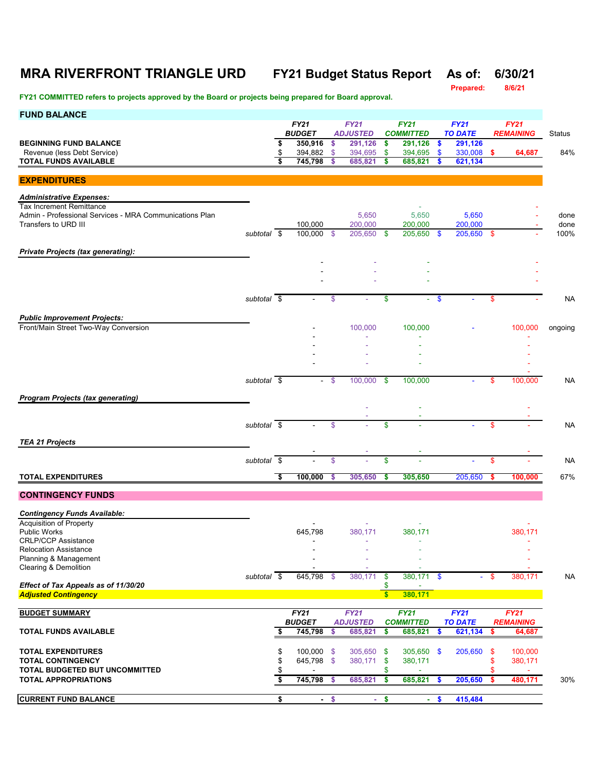## **MRA RIVERFRONT TRIANGLE URD FY21 Budget Status Report As of: 6/30/21**

**Prepared:** 

| <b>FUND BALANCE</b>                                                                                                |                          |                | <b>FY21</b><br><b>BUDGET</b>  |                | <b>FY21</b><br><b>ADJUSTED</b> |                        | <b>FY21</b><br><b>COMMITTED</b> |                  | <b>FY21</b><br><b>TO DATE</b>    |      | <b>FY21</b><br><b>REMAINING</b> | <b>Status</b> |
|--------------------------------------------------------------------------------------------------------------------|--------------------------|----------------|-------------------------------|----------------|--------------------------------|------------------------|---------------------------------|------------------|----------------------------------|------|---------------------------------|---------------|
| <b>BEGINNING FUND BALANCE</b><br>Revenue (less Debt Service)<br><b>TOTAL FUNDS AVAILABLE</b>                       |                          | \$<br>\$<br>\$ | 350,916<br>394,882<br>745,798 | \$<br>\$<br>\$ | 291,126<br>394,695<br>685,821  | \$<br>\$<br>\$         | 291,126<br>394,695<br>685,821   | - \$<br>\$<br>\$ | 291,126<br>330,008 \$<br>621,134 |      | 64,687                          | 84%           |
|                                                                                                                    |                          |                |                               |                |                                |                        |                                 |                  |                                  |      |                                 |               |
| <b>EXPENDITURES</b>                                                                                                |                          |                |                               |                |                                |                        |                                 |                  |                                  |      |                                 |               |
| <b>Administrative Expenses:</b>                                                                                    |                          |                |                               |                |                                |                        |                                 |                  |                                  |      |                                 |               |
| <b>Tax Increment Remittance</b><br>Admin - Professional Services - MRA Communications Plan<br>Transfers to URD III |                          |                | 100.000                       |                | 5,650<br>200,000               |                        | 5,650<br>200,000                |                  | 5,650<br>200,000                 |      |                                 | done<br>done  |
|                                                                                                                    | subtotal \$              |                | 100,000                       | -\$            | 205.650                        | -\$                    | 205,650 \$                      |                  | 205,650 \$                       |      |                                 | 100%          |
| <b>Private Projects (tax generating):</b>                                                                          |                          |                |                               |                |                                |                        |                                 |                  |                                  |      |                                 |               |
|                                                                                                                    |                          |                |                               |                |                                |                        |                                 |                  |                                  |      |                                 |               |
|                                                                                                                    |                          |                |                               |                |                                |                        |                                 |                  |                                  |      |                                 |               |
|                                                                                                                    |                          |                |                               |                |                                |                        |                                 |                  |                                  |      |                                 |               |
|                                                                                                                    | subtotal \$              |                |                               | \$             |                                | \$                     | $\sim$                          | $\mathbf{\$}$    |                                  | \$   |                                 | <b>NA</b>     |
| <b>Public Improvement Projects:</b>                                                                                |                          |                |                               |                |                                |                        |                                 |                  |                                  |      |                                 |               |
| Front/Main Street Two-Way Conversion                                                                               |                          |                |                               |                | 100,000                        |                        | 100,000                         |                  |                                  |      | 100,000                         | ongoing       |
|                                                                                                                    |                          |                |                               |                |                                |                        |                                 |                  |                                  |      |                                 |               |
|                                                                                                                    |                          |                |                               |                |                                |                        |                                 |                  |                                  |      |                                 |               |
|                                                                                                                    |                          |                |                               |                |                                |                        |                                 |                  |                                  |      |                                 |               |
|                                                                                                                    | subtotal \$              |                |                               | - \$           | 100,000                        | \$                     | 100,000                         |                  |                                  | \$   | 100,000                         | <b>NA</b>     |
| <b>Program Projects (tax generating)</b>                                                                           |                          |                |                               |                |                                |                        |                                 |                  |                                  |      |                                 |               |
|                                                                                                                    |                          |                |                               |                |                                |                        |                                 |                  |                                  |      |                                 |               |
|                                                                                                                    | subtotal $\overline{\$}$ |                |                               | \$             |                                | \$                     |                                 |                  |                                  | \$   |                                 | <b>NA</b>     |
| <b>TEA 21 Projects</b>                                                                                             |                          |                |                               |                |                                |                        |                                 |                  |                                  |      |                                 |               |
|                                                                                                                    |                          |                |                               |                |                                |                        |                                 |                  |                                  |      |                                 |               |
|                                                                                                                    | subtotal $\overline{\$}$ |                |                               | \$             |                                | \$                     |                                 |                  |                                  | \$   |                                 | <b>NA</b>     |
| <b>TOTAL EXPENDITURES</b>                                                                                          |                          | \$             | 100,000                       | \$             | 305,650                        | \$                     | 305,650                         |                  | 205,650                          |      | 100,000                         | 67%           |
| <b>CONTINGENCY FUNDS</b>                                                                                           |                          |                |                               |                |                                |                        |                                 |                  |                                  |      |                                 |               |
| <b>Contingency Funds Available:</b>                                                                                |                          |                |                               |                |                                |                        |                                 |                  |                                  |      |                                 |               |
| Acquisition of Property                                                                                            |                          |                |                               |                |                                |                        |                                 |                  |                                  |      |                                 |               |
| <b>Public Works</b><br><b>CRLP/CCP Assistance</b>                                                                  |                          |                | 645,798<br>$\blacksquare$     |                | 380,171                        |                        | 380,171                         |                  |                                  |      | 380,171<br>٠                    |               |
| <b>Relocation Assistance</b>                                                                                       |                          |                |                               |                |                                |                        |                                 |                  |                                  |      |                                 |               |
| Planning & Management<br>Clearing & Demolition                                                                     |                          |                |                               |                |                                |                        |                                 |                  |                                  |      |                                 |               |
|                                                                                                                    | subtotal $\overline{\$}$ |                | 645,798 \$                    |                | 380,171                        | \$                     | 380,171 \$                      |                  |                                  | - \$ | 380,171                         | <b>NA</b>     |
| Effect of Tax Appeals as of 11/30/20<br><b>Adjusted Contingency</b>                                                |                          |                |                               |                |                                | \$<br>$\boldsymbol{s}$ | 380,171                         |                  |                                  |      |                                 |               |
|                                                                                                                    |                          |                |                               |                |                                |                        |                                 |                  |                                  |      |                                 |               |
| <b>BUDGET SUMMARY</b>                                                                                              |                          |                | FY21<br><b>BUDGET</b>         |                | FY21<br><b>ADJUSTED</b>        |                        | <b>FY21</b><br><b>COMMITTED</b> |                  | <b>FY21</b><br><b>TO DATE</b>    |      | FY21<br><b>REMAINING</b>        |               |
| <b>TOTAL FUNDS AVAILABLE</b>                                                                                       |                          | \$             | 745,798                       | \$             | 685,821                        | \$                     | 685,821                         | <b>S</b>         | 621,134                          | \$   | 64,687                          |               |
| <b>TOTAL EXPENDITURES</b>                                                                                          |                          | \$             | 100,000                       | -\$            | 305,650                        | \$                     | 305,650 \$                      |                  | 205,650                          | -\$  | 100,000                         |               |
| <b>TOTAL CONTINGENCY</b>                                                                                           |                          | \$             | 645,798 \$                    |                | 380,171                        | \$                     | 380,171                         |                  |                                  | \$   | 380,171                         |               |
| TOTAL BUDGETED BUT UNCOMMITTED                                                                                     |                          |                |                               |                |                                | \$                     |                                 |                  |                                  | \$   |                                 |               |
| <b>TOTAL APPROPRIATIONS</b>                                                                                        |                          | \$             | 745,798                       | -S             | 685,821                        | \$                     | 685,821                         | -S               | 205,650                          | S    | 480,171                         | 30%           |
| <b>CURRENT FUND BALANCE</b>                                                                                        |                          | \$             |                               | $-$ \$         | a.                             | \$                     |                                 | $-$ \$           | 415,484                          |      |                                 |               |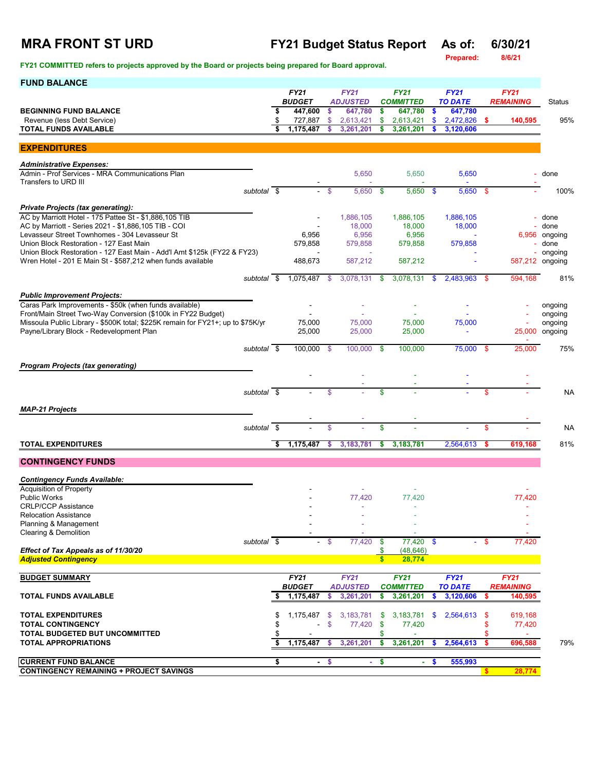## **MRA FRONT ST URD FY21 Budget Status Report As of: 6/30/21**

**Prepared: 8/6/21**

| <b>FUND BALANCE</b>                                                                                                 |             |    |                              |               |                                |              |                                 |                           |                               |      |                  |                 |
|---------------------------------------------------------------------------------------------------------------------|-------------|----|------------------------------|---------------|--------------------------------|--------------|---------------------------------|---------------------------|-------------------------------|------|------------------|-----------------|
|                                                                                                                     |             |    | <b>FY21</b><br><b>BUDGET</b> |               | <b>FY21</b><br><b>ADJUSTED</b> |              | <b>FY21</b><br><b>COMMITTED</b> |                           | <b>FY21</b><br><b>TO DATE</b> |      | <b>FY21</b>      |                 |
| <b>BEGINNING FUND BALANCE</b>                                                                                       |             |    | 447,600                      | \$            | 647,780                        | \$           | 647,780                         | \$                        | 647,780                       |      | <b>REMAINING</b> | Status          |
| Revenue (less Debt Service)                                                                                         |             | \$ | 727,887                      | \$            | 2,613,421                      | \$           | 2,613,421                       | \$                        | 2,472,826                     | -S   | 140,595          | 95%             |
| <b>TOTAL FUNDS AVAILABLE</b>                                                                                        |             | \$ | 1,175,487                    | \$            | 3,261,201                      | s            | 3,261,201                       | S                         | 3,120,606                     |      |                  |                 |
|                                                                                                                     |             |    |                              |               |                                |              |                                 |                           |                               |      |                  |                 |
| <b>EXPENDITURES</b>                                                                                                 |             |    |                              |               |                                |              |                                 |                           |                               |      |                  |                 |
| <b>Administrative Expenses:</b>                                                                                     |             |    |                              |               |                                |              |                                 |                           |                               |      |                  |                 |
| Admin - Prof Services - MRA Communications Plan                                                                     |             |    |                              |               | 5,650                          |              | 5,650                           |                           | 5,650                         |      |                  | done            |
| Transfers to URD III                                                                                                |             |    |                              |               |                                |              |                                 |                           |                               |      |                  |                 |
|                                                                                                                     | subtotal \$ |    | ÷.                           | -\$           | 5,650                          | \$           | $5,650$ \$                      |                           | $5,650$ \$                    |      |                  | 100%            |
| <b>Private Projects (tax generating):</b>                                                                           |             |    |                              |               |                                |              |                                 |                           |                               |      |                  |                 |
| AC by Marriott Hotel - 175 Pattee St - \$1,886,105 TIB                                                              |             |    |                              |               | 1,886,105                      |              | 1,886,105                       |                           | 1,886,105                     |      |                  | done            |
| AC by Marriott - Series 2021 - \$1,886,105 TIB - COI                                                                |             |    |                              |               | 18,000                         |              | 18,000                          |                           | 18,000                        |      |                  | done            |
| Levasseur Street Townhomes - 304 Levasseur St                                                                       |             |    | 6,956                        |               | 6,956                          |              | 6,956                           |                           |                               |      | 6,956            | ongoing         |
| Union Block Restoration - 127 East Main<br>Union Block Restoration - 127 East Main - Add'l Amt \$125k (FY22 & FY23) |             |    | 579,858<br>$\sim$            |               | 579,858<br>$\sim$              |              | 579,858                         |                           | 579,858                       |      |                  | done<br>ongoing |
| Wren Hotel - 201 E Main St - \$587,212 when funds available                                                         |             |    | 488,673                      |               | 587,212                        |              | 587,212                         |                           |                               |      |                  | 587,212 ongoing |
|                                                                                                                     |             |    |                              |               |                                |              |                                 |                           |                               |      |                  |                 |
|                                                                                                                     | subtotal \$ |    | 1,075,487                    | -S            | 3,078,131                      | \$           | 3,078,131                       | <b>S</b>                  | 2,483,963                     | -\$  | 594.168          | 81%             |
|                                                                                                                     |             |    |                              |               |                                |              |                                 |                           |                               |      |                  |                 |
| <b>Public Improvement Projects:</b><br>Caras Park Improvements - \$50k (when funds available)                       |             |    |                              |               |                                |              |                                 |                           |                               |      |                  | ongoing         |
| Front/Main Street Two-Way Conversion (\$100k in FY22 Budget)                                                        |             |    |                              |               |                                |              |                                 |                           |                               |      |                  | ongoing         |
| Missoula Public Library - \$500K total; \$225K remain for FY21+; up to \$75K/yr                                     |             |    | 75.000                       |               | 75,000                         |              | 75,000                          |                           | 75,000                        |      |                  | ongoing         |
| Payne/Library Block - Redevelopment Plan                                                                            |             |    | 25,000                       |               | 25,000                         |              | 25,000                          |                           | ä,                            |      | 25,000           | ongoing         |
|                                                                                                                     |             |    |                              |               |                                |              |                                 |                           |                               |      |                  |                 |
|                                                                                                                     | subtotal \$ |    | 100,000 \$                   |               | 100,000                        | -\$          | 100,000                         |                           | 75,000 \$                     |      | 25,000           | 75%             |
| <b>Program Projects (tax generating)</b>                                                                            |             |    |                              |               |                                |              |                                 |                           |                               |      |                  |                 |
|                                                                                                                     |             |    |                              |               |                                |              |                                 |                           |                               |      |                  |                 |
|                                                                                                                     |             |    |                              |               |                                |              |                                 |                           |                               |      |                  |                 |
|                                                                                                                     | subtotal \$ |    |                              | $\mathbf{s}$  |                                | \$           |                                 |                           |                               | \$   |                  | <b>NA</b>       |
| <b>MAP-21 Projects</b>                                                                                              |             |    |                              |               |                                |              |                                 |                           |                               |      |                  |                 |
|                                                                                                                     |             |    |                              |               |                                |              |                                 |                           |                               |      |                  |                 |
|                                                                                                                     | subtotal \$ |    |                              | $\mathbf{\$}$ |                                | \$           |                                 |                           |                               | \$   |                  | <b>NA</b>       |
| <b>TOTAL EXPENDITURES</b>                                                                                           |             | S, | 1,175,487                    | s             | 3,183,781                      | s            | 3,183,781                       |                           | 2,564,613                     |      | 619,168          | 81%             |
|                                                                                                                     |             |    |                              |               |                                |              |                                 |                           |                               |      |                  |                 |
| <b>CONTINGENCY FUNDS</b>                                                                                            |             |    |                              |               |                                |              |                                 |                           |                               |      |                  |                 |
|                                                                                                                     |             |    |                              |               |                                |              |                                 |                           |                               |      |                  |                 |
| <b>Contingency Funds Available:</b><br><b>Acquisition of Property</b>                                               |             |    |                              |               |                                |              |                                 |                           |                               |      |                  |                 |
| <b>Public Works</b>                                                                                                 |             |    |                              |               | 77,420                         |              | 77,420                          |                           |                               |      | 77,420           |                 |
| <b>CRLP/CCP Assistance</b>                                                                                          |             |    |                              |               | ÷,                             |              | ÷.                              |                           |                               |      |                  |                 |
| <b>Relocation Assistance</b>                                                                                        |             |    |                              |               |                                |              |                                 |                           |                               |      |                  |                 |
| Planning & Management                                                                                               |             |    |                              |               |                                |              |                                 |                           |                               |      |                  |                 |
| Clearing & Demolition                                                                                               |             |    |                              |               | 77,420                         |              | $77,420$ \$                     |                           |                               |      |                  |                 |
| Effect of Tax Appeals as of 11/30/20                                                                                | subtotal \$ |    |                              | - \$          |                                | \$<br>S.     | (48, 646)                       |                           |                               | - \$ | 77,420           |                 |
| <b>Adjusted Contingency</b>                                                                                         |             |    |                              |               |                                | $\mathbf{s}$ | 28,774                          |                           |                               |      |                  |                 |
|                                                                                                                     |             |    |                              |               |                                |              |                                 |                           |                               |      |                  |                 |
| <b>BUDGET SUMMARY</b>                                                                                               |             |    | FY21                         |               | <b>FY21</b>                    |              | <b>FY21</b>                     |                           | FY21                          |      | <b>FY21</b>      |                 |
|                                                                                                                     |             |    | <b>BUDGET</b>                |               | <b>ADJUSTED</b>                |              | <b>COMMITTED</b>                |                           | <b>TO DATE</b>                |      | <b>REMAINING</b> |                 |
| <b>TOTAL FUNDS AVAILABLE</b>                                                                                        |             | s  | 1,175,487                    | \$            | 3,261,201                      | S            | 3,261,201                       | S.                        | 3,120,606                     | s.   | 140,595          |                 |
| <b>TOTAL EXPENDITURES</b>                                                                                           |             | \$ | 1,175,487                    | -\$           | 3,183,781                      | -\$          | 3,183,781                       | $\boldsymbol{\mathsf{s}}$ | 2,564,613                     | -\$  | 619,168          |                 |
| <b>TOTAL CONTINGENCY</b>                                                                                            |             | \$ |                              | \$            | 77,420                         | \$           | 77,420                          |                           |                               | \$   | 77,420           |                 |
| TOTAL BUDGETED BUT UNCOMMITTED                                                                                      |             | \$ |                              |               |                                | \$           |                                 |                           |                               | \$   |                  |                 |
| <b>TOTAL APPROPRIATIONS</b>                                                                                         |             | s  | 1,175,487                    | \$            | 3,261,201                      | S.           | 3,261,201                       | S.                        | 2,564,613                     | s.   | 696,588          | 79%             |
|                                                                                                                     |             |    |                              |               |                                |              |                                 |                           |                               |      |                  |                 |
| <b>CURRENT FUND BALANCE</b>                                                                                         |             | \$ | $\blacksquare$               | \$            | ÷.                             | \$           | $\blacksquare$                  | S.                        | 555,993                       |      |                  |                 |
| <b>CONTINGENCY REMAINING + PROJECT SAVINGS</b>                                                                      |             |    |                              |               |                                |              |                                 |                           |                               |      | 28,774           |                 |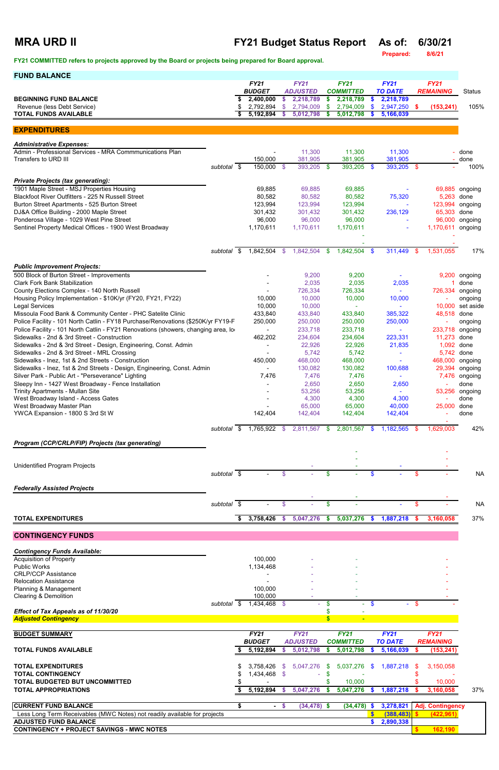| <b>MRA URD II</b>                                                                                               |                          | <b>FY21 Budget Status Report</b><br>As of:<br><b>Prepared:</b> |                              |              |                                |     |                                 |               |                               | 6/30/21<br>8/6/21 |                                 |                    |
|-----------------------------------------------------------------------------------------------------------------|--------------------------|----------------------------------------------------------------|------------------------------|--------------|--------------------------------|-----|---------------------------------|---------------|-------------------------------|-------------------|---------------------------------|--------------------|
| FY21 COMMITTED refers to projects approved by the Board or projects being prepared for Board approval.          |                          |                                                                |                              |              |                                |     |                                 |               |                               |                   |                                 |                    |
| <b>FUND BALANCE</b>                                                                                             |                          |                                                                |                              |              |                                |     |                                 |               |                               |                   |                                 |                    |
|                                                                                                                 |                          |                                                                | <b>FY21</b><br><b>BUDGET</b> |              | <b>FY21</b><br><b>ADJUSTED</b> |     | <b>FY21</b><br><b>COMMITTED</b> |               | <b>FY21</b><br><b>TO DATE</b> |                   | <b>FY21</b><br><b>REMAINING</b> | <b>Status</b>      |
| <b>BEGINNING FUND BALANCE</b>                                                                                   |                          |                                                                | 2,400,000                    | \$           | 2,218,789                      | \$  | 2,218,789                       | \$            | 2,218,789                     |                   |                                 |                    |
| Revenue (less Debt Service)                                                                                     |                          |                                                                | 2,792,894                    | \$           | 2,794,009                      | \$  | 2,794,009                       | \$            | 2,947,250                     | \$.               | (153, 241)                      | 105%               |
| <b>TOTAL FUNDS AVAILABLE</b>                                                                                    |                          |                                                                | 5,192,894                    | \$           | 5,012,798                      | \$  | 5,012,798                       | \$.           | 5,166,039                     |                   |                                 |                    |
| <b>EXPENDITURES</b>                                                                                             |                          |                                                                |                              |              |                                |     |                                 |               |                               |                   |                                 |                    |
| <b>Administrative Expenses:</b>                                                                                 |                          |                                                                |                              |              |                                |     |                                 |               |                               |                   |                                 |                    |
| Admin - Professional Services - MRA Commmunications Plan                                                        |                          |                                                                |                              |              | 11,300                         |     | 11,300                          |               | 11,300                        |                   |                                 | done               |
| Transfers to URD III                                                                                            |                          |                                                                | 150,000                      |              | 381,905                        |     | 381,905                         |               | 381,905                       |                   |                                 | done               |
|                                                                                                                 | subtotal \$              |                                                                | 150,000                      | \$           | 393,205 \$                     |     | 393,205                         | $\mathbf{\$}$ | 393,205 \$                    |                   |                                 | 100%               |
| <b>Private Projects (tax generating):</b>                                                                       |                          |                                                                |                              |              |                                |     |                                 |               |                               |                   |                                 |                    |
| 1901 Maple Street - MSJ Properties Housing                                                                      |                          |                                                                | 69,885                       |              | 69,885                         |     | 69,885                          |               |                               |                   |                                 | 69,885 ongoing     |
| Blackfoot River Outfitters - 225 N Russell Street<br>Burton Street Apartments - 525 Burton Street               |                          |                                                                | 80,582<br>123,994            |              | 80,582<br>123,994              |     | 80,582<br>123,994               |               | 75,320                        |                   | 5,263<br>123,994                | done<br>ongoing    |
| DJ&A Office Building - 2000 Maple Street                                                                        |                          |                                                                | 301,432                      |              | 301,432                        |     | 301,432                         |               | 236,129                       |                   | 65,303                          | done               |
| Ponderosa Village - 1029 West Pine Street                                                                       |                          |                                                                | 96,000                       |              | 96,000                         |     | 96,000                          |               |                               |                   | 96,000                          | ongoing            |
| Sentinel Property Medical Offices - 1900 West Broadway                                                          |                          |                                                                | 1,170,611                    |              | 1,170,611                      |     | 1,170,611                       |               |                               |                   | 1,170,611                       | ongoing            |
|                                                                                                                 |                          |                                                                |                              |              |                                |     |                                 |               |                               |                   |                                 |                    |
|                                                                                                                 | subtotal                 | $\sqrt{3}$                                                     | 1,842,504                    | $\mathbb{S}$ | 1,842,504                      | \$. | 1,842,504                       | $\mathbf{\$}$ | 311,449                       | \$                | 1,531,055                       | 17%                |
|                                                                                                                 |                          |                                                                |                              |              |                                |     |                                 |               |                               |                   |                                 |                    |
| <b>Public Improvement Projects:</b>                                                                             |                          |                                                                |                              |              |                                |     |                                 |               |                               |                   |                                 |                    |
| 500 Block of Burton Street - Improvements                                                                       |                          |                                                                |                              |              | 9,200                          |     | 9,200                           |               |                               |                   |                                 | 9,200 ongoing      |
| <b>Clark Fork Bank Stabilization</b><br>County Elections Complex - 140 North Russell                            |                          |                                                                |                              |              | 2,035                          |     | 2,035                           |               | 2,035                         |                   |                                 | done               |
| Housing Policy Implementation - \$10K/yr (FY20, FY21, FY22)                                                     |                          |                                                                | 10,000                       |              | 726,334<br>10,000              |     | 726,334<br>10,000               |               | 10,000                        |                   | 726,334                         | ongoing<br>ongoing |
| <b>Legal Services</b>                                                                                           |                          |                                                                | 10,000                       |              | 10,000                         |     |                                 |               |                               |                   | 10,000                          | set aside          |
| Missoula Food Bank & Community Center - PHC Satelite Clinic                                                     |                          |                                                                | 433,840                      |              | 433,840                        |     | 433,840                         |               | 385,322                       |                   | 48,518 done                     |                    |
| Police Facility - 101 North Catlin - FY18 Purchase/Renovations (\$250K/yr FY19-F                                |                          |                                                                | 250,000                      |              | 250,000                        |     | 250,000                         |               | 250,000                       |                   |                                 | ongoing            |
| Police Facility - 101 North Catlin - FY21 Renovations (showers, changing area, lo                               |                          |                                                                |                              |              | 233,718                        |     | 233,718                         |               |                               |                   | 233,718                         | ongoing            |
| Sidewalks - 2nd & 3rd Street - Construction<br>Sidewalks - 2nd & 3rd Street - Design, Engineering, Const. Admin |                          |                                                                | 462,202                      |              | 234,604                        |     | 234,604                         |               | 223,331                       |                   | 11,273<br>1,092                 | done<br>done       |
| Sidewalks - 2nd & 3rd Street - MRL Crossing                                                                     |                          |                                                                |                              |              | 22,926<br>5,742                |     | 22,926<br>5,742                 |               | 21,835                        |                   | 5,742                           | done               |
| Sidewalks - Inez, 1st & 2nd Streets - Construction                                                              |                          |                                                                | 450,000                      |              | 468,000                        |     | 468,000                         |               |                               |                   | 468,000                         | ongoing            |
| Sidewalks - Inez, 1st & 2nd Streets - Design, Engineering, Const. Admin                                         |                          |                                                                |                              |              | 130,082                        |     | 130,082                         |               | 100,688                       |                   | 29,394                          | ongoing            |
| Silver Park - Public Art - "Perseverance" Lighting                                                              |                          |                                                                | 7,476                        |              | 7,476                          |     | 7,476                           |               |                               |                   | 7,476                           | ongoing            |
| Sleepy Inn - 1427 West Broadway - Fence Installation                                                            |                          |                                                                |                              |              | 2,650                          |     | 2,650                           |               | 2,650                         |                   |                                 | done               |
| Trinity Apartments - Mullan Site<br>West Broadway Island - Access Gates                                         |                          |                                                                |                              |              | 53,256<br>4,300                |     | 53,256<br>4,300                 |               | 4,300                         |                   | 53,256                          | ongoing<br>done    |
| West Broadway Master Plan                                                                                       |                          |                                                                |                              |              | 65,000                         |     | 65,000                          |               | 40,000                        |                   | 25,000                          | done               |
| YWCA Expansion - 1800 S 3rd St W                                                                                |                          |                                                                | 142,404                      |              | 142,404                        |     | 142,404                         |               | 142,404                       |                   |                                 | done               |
|                                                                                                                 | subtotal \$              |                                                                | 1,765,922 \$                 |              | 2,811,567 \$                   |     | 2,801,567                       | - \$          | 1,182,565 \$                  |                   | 1,629,003                       | 42%                |
|                                                                                                                 |                          |                                                                |                              |              |                                |     |                                 |               |                               |                   |                                 |                    |
| Program (CCP/CRLP/FIP) Projects (tax generating)                                                                |                          |                                                                |                              |              |                                |     |                                 |               |                               |                   |                                 |                    |
|                                                                                                                 |                          |                                                                |                              |              |                                |     |                                 |               |                               |                   |                                 |                    |
| <b>Unidentified Program Projects</b>                                                                            |                          |                                                                |                              |              |                                |     |                                 |               |                               |                   |                                 |                    |
|                                                                                                                 | subtotal \$              |                                                                |                              | \$           |                                | \$  |                                 | \$            |                               | \$                |                                 | <b>NA</b>          |
| <b>Federally Assisted Projects</b>                                                                              |                          |                                                                |                              |              |                                |     |                                 |               |                               |                   |                                 |                    |
|                                                                                                                 | subtotal $\overline{\$}$ |                                                                |                              | \$           |                                | \$  |                                 |               |                               | \$                |                                 | <b>NA</b>          |
|                                                                                                                 |                          |                                                                |                              |              |                                |     |                                 |               |                               |                   |                                 |                    |
| <b>TOTAL EXPENDITURES</b>                                                                                       |                          |                                                                | 3,758,426                    | S.           | 5,047,276                      | S.  | 5,037,276                       | S.            | 1,887,218                     | S.                | 3,160,058                       | 37%                |
| <b>CONTINGENCY FUNDS</b>                                                                                        |                          |                                                                |                              |              |                                |     |                                 |               |                               |                   |                                 |                    |

*Contingency Funds Available:* Acquisition of Property 100,000 - - -

| <b>Public Works</b>                                                       |                  | 1,134,468     |              |                 |               |                  |     |                |   |                         |     |
|---------------------------------------------------------------------------|------------------|---------------|--------------|-----------------|---------------|------------------|-----|----------------|---|-------------------------|-----|
| <b>CRLP/CCP Assistance</b>                                                |                  |               |              |                 |               |                  |     |                |   |                         |     |
| <b>Relocation Assistance</b>                                              |                  |               |              |                 |               |                  |     |                |   |                         |     |
| Planning & Management                                                     |                  | 100,000       |              |                 |               |                  |     |                |   |                         |     |
| <b>Clearing &amp; Demolition</b>                                          |                  | 100,000       |              |                 |               |                  |     |                |   |                         |     |
|                                                                           | - \$<br>subtotal | 1,434,468     | $\mathbb{S}$ |                 |               |                  |     |                |   |                         |     |
| Effect of Tax Appeals as of 11/30/20                                      |                  |               |              |                 |               |                  |     |                |   |                         |     |
| <b>Adjusted Contingency</b>                                               |                  |               |              |                 |               | $\blacksquare$   |     |                |   |                         |     |
|                                                                           |                  |               |              |                 |               |                  |     |                |   |                         |     |
| <b>BUDGET SUMMARY</b>                                                     |                  | <b>FY21</b>   |              | <b>FY21</b>     |               | <b>FY21</b>      |     | <b>FY21</b>    |   | <b>FY21</b>             |     |
|                                                                           |                  | <b>BUDGET</b> |              | <b>ADJUSTED</b> |               | <b>COMMITTED</b> |     | <b>TO DATE</b> |   | <b>REMAINING</b>        |     |
| <b>TOTAL FUNDS AVAILABLE</b>                                              |                  | 5,192,894     |              | 5,012,798       |               | 5,012,798        |     | 5,166,039      |   | (153, 241)              |     |
|                                                                           |                  |               |              |                 |               |                  |     |                |   |                         |     |
| <b>TOTAL EXPENDITURES</b>                                                 |                  | 3,758,426     | \$.          | 5,047,276       | <sup>\$</sup> | 5,037,276        | -SS | 1,887,218      | S | 3,150,058               |     |
| <b>TOTAL CONTINGENCY</b>                                                  |                  | 1,434,468     | -S           |                 |               |                  |     |                |   |                         |     |
| TOTAL BUDGETED BUT UNCOMMITTED                                            |                  |               |              |                 |               | 10,000           |     |                |   | 10,000                  |     |
| <b>TOTAL APPROPRIATIONS</b>                                               |                  | 5,192,894     |              | 5,047,276       |               | 5,047,276        |     | 1,887,218      |   | 3,160,058               | 37% |
|                                                                           |                  |               |              |                 |               |                  |     |                |   |                         |     |
| <b>CURRENT FUND BALANCE</b>                                               |                  | ۰             | <b>S</b>     | $(34, 478)$ \$  |               | (34, 478)        |     | 3,278,821      |   | <b>Adj. Contingency</b> |     |
| Less Long Term Receivables (MWC Notes) not readily available for projects |                  |               |              |                 |               |                  |     | (388, 483)     |   | (422, 961)              |     |
| <b>ADJUSTED FUND BALANCE</b>                                              |                  |               |              |                 |               |                  |     | 2,890,338      |   |                         |     |
| <b>CONTINGENCY + PROJECT SAVINGS - MWC NOTES</b>                          |                  |               |              |                 |               |                  |     |                |   | 162,190                 |     |
|                                                                           |                  |               |              |                 |               |                  |     |                |   |                         |     |

 $\overline{\phantom{a}}$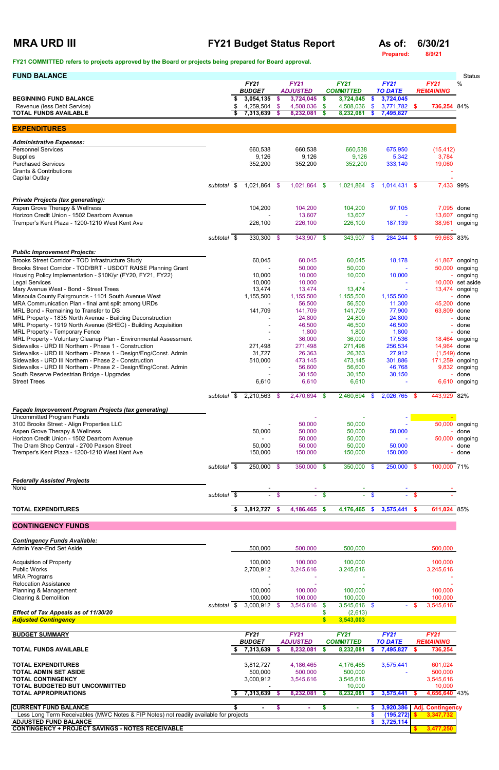# **MRA URD III FY21 Budget Status Report As of: 6/30/21 As of: 6/30/21 Prepared:** 8/9/21

**Prepared:** 

| <b>BUDGET</b><br><b>ADJUSTED</b><br><b>COMMITTED</b><br><b>TO DATE</b><br><b>REMAINING</b><br>3,054,135<br>3,724,045<br>3,724,045<br>3,724,045<br>\$<br>\$<br>\$<br>$\boldsymbol{\mathsf{s}}$<br>Revenue (less Debt Service)<br>4,259,504 \$<br>$\mathbf{\$}$<br>3,771,782 \$<br>4,508,036<br>\$<br>4,508,036<br>736,254 84%<br>\$<br>7,313,639<br>8,232,081<br>8,232,081<br>\$<br>\$<br>7,495,827<br><b>EXPENDITURES</b><br><b>Administrative Expenses:</b><br><b>Personnel Services</b><br>660,538<br>660,538<br>660,538<br>675,950<br>(15, 412)<br>9,126<br>9,126<br>9,126<br>5,342<br>3,784<br><b>Purchased Services</b><br>352,200<br>352,200<br>352,200<br>333,140<br>19,060<br>$1,021,864$ \$<br>$1,014,431$ \$<br>7,433 99%<br>$\sqrt{3}$<br>1,021,864 \$<br>1,021,864<br>subtotal<br>- \$<br>Aspen Grove Therapy & Wellness<br>104,200<br>7,095 done<br>104,200<br>104,200<br>97,105<br>13,607<br>13,607<br>226,100<br>226,100<br>38,961<br>226,100<br>187,139<br>$330,300$ \$<br>$343,907$ \$<br>$284,244$ \$<br>343,907 \$<br>59,663 83%<br>subtotal \$<br><b>Public Improvement Projects:</b><br>Brooks Street Corridor - TOD Infrastructure Study<br>60,045<br>60,045<br>18,178<br>60,045<br>50,000<br>50,000<br>Housing Policy Implementation - \$10K/yr (FY20, FY21, FY22)<br>10,000<br>10,000<br>10,000<br>10,000<br><b>Legal Services</b><br>10,000<br>10,000<br>13,474<br>13,474<br>13,474<br>13,474 ongoing<br>Missoula County Fairgrounds - 1101 South Avenue West<br>1,155,500<br>1,155,500<br>1,155,500<br>1,155,500<br>- done<br>MRA Communication Plan - final amt split among URDs<br>56,500<br>56,500<br>11,300<br>45,200 done<br>141,709<br>141,709<br>63,809 done<br>141,709<br>77,900<br>MRL Property - 1835 North Avenue - Building Deconstruction<br>24,800<br>24,800<br>24,800<br>done<br>46,500<br>46,500<br>46,500<br>- done<br>1,800<br>1,800<br>1,800<br>done<br>MRL Property - Voluntary Cleanup Plan - Environmental Assessment<br>36,000<br>17,536<br>36,000<br>256,534<br>14,964 done<br>271,498<br>271,498<br>271,498<br>Sidewalks - URD III Northern - Phase 1 - Design/Eng/Const. Admin<br>31,727<br>26,363<br>26,363<br>27,912<br>$(1,549)$ done<br>Sidewalks - URD III Northern - Phase 2 - Construction<br>510,000<br>473,145<br>473,145<br>301,886<br>56,600<br>56,600<br>46,768<br>South Reserve Pedestrian Bridge - Upgrades<br>30,150<br>30,150<br>30,150<br>done<br><b>Street Trees</b><br>6,610<br>6,610<br>6,610<br>2,210,563 \$<br>2,470,694<br>2,460,694<br>$2,026,765$ \$<br>443,929 82%<br>subtotal \$<br>- \$<br>- \$<br><b>Uncommitted Program Funds</b><br>50,000<br>50,000<br>Aspen Grove Therapy & Wellness<br>50,000<br>50,000<br>50,000<br>50,000<br>done<br>Horizon Credit Union - 1502 Dearborn Avenue<br>50,000<br>50,000<br>50,000 ongoing<br>50,000<br>50,000<br>50,000<br>50,000<br>done<br>Tremper's Kent Plaza - 1200-1210 West Kent Ave<br>150,000<br>150,000<br>150,000<br>150,000<br>done<br>250,000 \$<br>250,000<br>100,000 71%<br>subtotal \$<br>350,000 \$<br>350,000 \$<br>- \$<br>None<br>$-$ \$<br>subtotal $\overline{\$}$<br>$-$ \$<br>$\mathbf{\$}$<br>\$<br>$\sim 100$<br>$\sim$<br>3,812,727<br>611,024 85%<br>\$<br>4,186,465<br>4,176,465<br>3,575,441<br><b>TOTAL EXPENDITURES</b><br>$\mathbf{\$}$<br>$\boldsymbol{\mathsf{s}}$<br>$\mathbf{s}$<br>-S<br>Admin Year-End Set Aside<br>500,000<br>500,000<br>500,000<br>500,000<br>100,000<br>100,000<br>100,000<br>100,000<br><b>Public Works</b><br>2,700,912<br>3,245,616<br>3,245,616<br>3,245,616<br><b>MRA Programs</b><br>Planning & Management<br>100,000<br>100,000<br>100,000<br>100,000<br>100,000<br>100,000<br>100,000<br>100,000<br>3,545,616<br>subtotal \$<br>3,000,912 \$<br>3,545,616<br>$3,545,616$ \$<br>- \$<br>- \$<br>Effect of Tax Appeals as of 11/30/20<br>\$<br>(2,613)<br>3,543,003<br>S.<br>FY21<br><b>FY21</b><br><b>FY21</b><br><b>FY21</b><br><b>FY21</b><br><b>BUDGET</b><br><b>TO DATE</b><br><b>ADJUSTED</b><br><b>COMMITTED</b><br><b>REMAINING</b><br><b>TOTAL FUNDS AVAILABLE</b><br>7,313,639<br>8,232,081<br>8,232,081<br>7,495,827<br>736,254<br>s.<br>S<br>S<br>-S<br>S<br>3,812,727<br>4,186,465<br>4,176,465<br>3,575,441<br>601,024<br><b>TOTAL ADMIN SET ASIDE</b><br>500,000<br>500,000<br>500,000<br>500,000<br>3,000,912<br>3,545,616<br>3,545,616<br>3,545,616<br>10,000<br>10,000<br>7,313,639<br>8,232,081<br>8,232,081<br>4,656,640 43%<br>3,575,441<br>- 5<br>-S<br>- 56<br><b>CURRENT FUND BALANCE</b><br>3,920,386<br>\$<br>S<br>\$<br><b>Adj. Contingency</b><br>$\blacksquare$<br>$\sim$<br>$\sim$<br>Less Long Term Receivables (MWC Notes & FIP Notes) not readily available for projects<br>(195, 272)<br>3,347,732<br>\$<br>3,725,114<br>S | <b>FUND BALANCE</b>                                                                     |  |             |             |             |             |             | <b>Status</b> |
|---------------------------------------------------------------------------------------------------------------------------------------------------------------------------------------------------------------------------------------------------------------------------------------------------------------------------------------------------------------------------------------------------------------------------------------------------------------------------------------------------------------------------------------------------------------------------------------------------------------------------------------------------------------------------------------------------------------------------------------------------------------------------------------------------------------------------------------------------------------------------------------------------------------------------------------------------------------------------------------------------------------------------------------------------------------------------------------------------------------------------------------------------------------------------------------------------------------------------------------------------------------------------------------------------------------------------------------------------------------------------------------------------------------------------------------------------------------------------------------------------------------------------------------------------------------------------------------------------------------------------------------------------------------------------------------------------------------------------------------------------------------------------------------------------------------------------------------------------------------------------------------------------------------------------------------------------------------------------------------------------------------------------------------------------------------------------------------------------------------------------------------------------------------------------------------------------------------------------------------------------------------------------------------------------------------------------------------------------------------------------------------------------------------------------------------------------------------------------------------------------------------------------------------------------------------------------------------------------------------------------------------------------------------------------------------------------------------------------------------------------------------------------------------------------------------------------------------------------------------------------------------------------------------------------------------------------------------------------------------------------------------------------------------------------------------------------------------------------------------------------------------------------------------------------------------------------------------------------------------------------------------------------------------------------------------------------------------------------------------------------------------------------------------------------------------------------------------------------------------------------------------------------------------------------------------------------------------------------------------------------------------------------------------------------------------------------------------------------------------------------------------------------------------------------------------------------------------------------------------------------------------------------------------------------------------------------------------------------------------------------------------------------------------------------------------------------------------------------------------------------------------------------------------------------------------------------------------------------------------------------------------------------------------------------------------------------------------------------------------------------------------------------------------------------------------------------------------------------------------------------------------------------------------------------------------------------------------------------------------------------------------------------------------------------------------------------------------------------------------------------|-----------------------------------------------------------------------------------------|--|-------------|-------------|-------------|-------------|-------------|---------------|
|                                                                                                                                                                                                                                                                                                                                                                                                                                                                                                                                                                                                                                                                                                                                                                                                                                                                                                                                                                                                                                                                                                                                                                                                                                                                                                                                                                                                                                                                                                                                                                                                                                                                                                                                                                                                                                                                                                                                                                                                                                                                                                                                                                                                                                                                                                                                                                                                                                                                                                                                                                                                                                                                                                                                                                                                                                                                                                                                                                                                                                                                                                                                                                                                                                                                                                                                                                                                                                                                                                                                                                                                                                                                                                                                                                                                                                                                                                                                                                                                                                                                                                                                                                                                                                                                                                                                                                                                                                                                                                                                                                                                                                                                                                                                                   |                                                                                         |  | <b>FY21</b> | <b>FY21</b> | <b>FY21</b> | <b>FY21</b> | <b>FY21</b> | %             |
| ongoing<br>ongoing                                                                                                                                                                                                                                                                                                                                                                                                                                                                                                                                                                                                                                                                                                                                                                                                                                                                                                                                                                                                                                                                                                                                                                                                                                                                                                                                                                                                                                                                                                                                                                                                                                                                                                                                                                                                                                                                                                                                                                                                                                                                                                                                                                                                                                                                                                                                                                                                                                                                                                                                                                                                                                                                                                                                                                                                                                                                                                                                                                                                                                                                                                                                                                                                                                                                                                                                                                                                                                                                                                                                                                                                                                                                                                                                                                                                                                                                                                                                                                                                                                                                                                                                                                                                                                                                                                                                                                                                                                                                                                                                                                                                                                                                                                                                | <b>BEGINNING FUND BALANCE</b>                                                           |  |             |             |             |             |             |               |
| 13,607 ongoing<br>41,867 ongoing<br>50,000 ongoing<br>10,000 set aside<br>18,464 ongoing<br>171,259 ongoing<br>9,832 ongoing<br>6,610 ongoing<br>50,000 ongoing                                                                                                                                                                                                                                                                                                                                                                                                                                                                                                                                                                                                                                                                                                                                                                                                                                                                                                                                                                                                                                                                                                                                                                                                                                                                                                                                                                                                                                                                                                                                                                                                                                                                                                                                                                                                                                                                                                                                                                                                                                                                                                                                                                                                                                                                                                                                                                                                                                                                                                                                                                                                                                                                                                                                                                                                                                                                                                                                                                                                                                                                                                                                                                                                                                                                                                                                                                                                                                                                                                                                                                                                                                                                                                                                                                                                                                                                                                                                                                                                                                                                                                                                                                                                                                                                                                                                                                                                                                                                                                                                                                                   | <b>TOTAL FUNDS AVAILABLE</b>                                                            |  |             |             |             |             |             |               |
|                                                                                                                                                                                                                                                                                                                                                                                                                                                                                                                                                                                                                                                                                                                                                                                                                                                                                                                                                                                                                                                                                                                                                                                                                                                                                                                                                                                                                                                                                                                                                                                                                                                                                                                                                                                                                                                                                                                                                                                                                                                                                                                                                                                                                                                                                                                                                                                                                                                                                                                                                                                                                                                                                                                                                                                                                                                                                                                                                                                                                                                                                                                                                                                                                                                                                                                                                                                                                                                                                                                                                                                                                                                                                                                                                                                                                                                                                                                                                                                                                                                                                                                                                                                                                                                                                                                                                                                                                                                                                                                                                                                                                                                                                                                                                   |                                                                                         |  |             |             |             |             |             |               |
|                                                                                                                                                                                                                                                                                                                                                                                                                                                                                                                                                                                                                                                                                                                                                                                                                                                                                                                                                                                                                                                                                                                                                                                                                                                                                                                                                                                                                                                                                                                                                                                                                                                                                                                                                                                                                                                                                                                                                                                                                                                                                                                                                                                                                                                                                                                                                                                                                                                                                                                                                                                                                                                                                                                                                                                                                                                                                                                                                                                                                                                                                                                                                                                                                                                                                                                                                                                                                                                                                                                                                                                                                                                                                                                                                                                                                                                                                                                                                                                                                                                                                                                                                                                                                                                                                                                                                                                                                                                                                                                                                                                                                                                                                                                                                   |                                                                                         |  |             |             |             |             |             |               |
|                                                                                                                                                                                                                                                                                                                                                                                                                                                                                                                                                                                                                                                                                                                                                                                                                                                                                                                                                                                                                                                                                                                                                                                                                                                                                                                                                                                                                                                                                                                                                                                                                                                                                                                                                                                                                                                                                                                                                                                                                                                                                                                                                                                                                                                                                                                                                                                                                                                                                                                                                                                                                                                                                                                                                                                                                                                                                                                                                                                                                                                                                                                                                                                                                                                                                                                                                                                                                                                                                                                                                                                                                                                                                                                                                                                                                                                                                                                                                                                                                                                                                                                                                                                                                                                                                                                                                                                                                                                                                                                                                                                                                                                                                                                                                   |                                                                                         |  |             |             |             |             |             |               |
|                                                                                                                                                                                                                                                                                                                                                                                                                                                                                                                                                                                                                                                                                                                                                                                                                                                                                                                                                                                                                                                                                                                                                                                                                                                                                                                                                                                                                                                                                                                                                                                                                                                                                                                                                                                                                                                                                                                                                                                                                                                                                                                                                                                                                                                                                                                                                                                                                                                                                                                                                                                                                                                                                                                                                                                                                                                                                                                                                                                                                                                                                                                                                                                                                                                                                                                                                                                                                                                                                                                                                                                                                                                                                                                                                                                                                                                                                                                                                                                                                                                                                                                                                                                                                                                                                                                                                                                                                                                                                                                                                                                                                                                                                                                                                   | Supplies                                                                                |  |             |             |             |             |             |               |
|                                                                                                                                                                                                                                                                                                                                                                                                                                                                                                                                                                                                                                                                                                                                                                                                                                                                                                                                                                                                                                                                                                                                                                                                                                                                                                                                                                                                                                                                                                                                                                                                                                                                                                                                                                                                                                                                                                                                                                                                                                                                                                                                                                                                                                                                                                                                                                                                                                                                                                                                                                                                                                                                                                                                                                                                                                                                                                                                                                                                                                                                                                                                                                                                                                                                                                                                                                                                                                                                                                                                                                                                                                                                                                                                                                                                                                                                                                                                                                                                                                                                                                                                                                                                                                                                                                                                                                                                                                                                                                                                                                                                                                                                                                                                                   | <b>Grants &amp; Contributions</b>                                                       |  |             |             |             |             |             |               |
|                                                                                                                                                                                                                                                                                                                                                                                                                                                                                                                                                                                                                                                                                                                                                                                                                                                                                                                                                                                                                                                                                                                                                                                                                                                                                                                                                                                                                                                                                                                                                                                                                                                                                                                                                                                                                                                                                                                                                                                                                                                                                                                                                                                                                                                                                                                                                                                                                                                                                                                                                                                                                                                                                                                                                                                                                                                                                                                                                                                                                                                                                                                                                                                                                                                                                                                                                                                                                                                                                                                                                                                                                                                                                                                                                                                                                                                                                                                                                                                                                                                                                                                                                                                                                                                                                                                                                                                                                                                                                                                                                                                                                                                                                                                                                   | <b>Capital Outlay</b>                                                                   |  |             |             |             |             |             |               |
|                                                                                                                                                                                                                                                                                                                                                                                                                                                                                                                                                                                                                                                                                                                                                                                                                                                                                                                                                                                                                                                                                                                                                                                                                                                                                                                                                                                                                                                                                                                                                                                                                                                                                                                                                                                                                                                                                                                                                                                                                                                                                                                                                                                                                                                                                                                                                                                                                                                                                                                                                                                                                                                                                                                                                                                                                                                                                                                                                                                                                                                                                                                                                                                                                                                                                                                                                                                                                                                                                                                                                                                                                                                                                                                                                                                                                                                                                                                                                                                                                                                                                                                                                                                                                                                                                                                                                                                                                                                                                                                                                                                                                                                                                                                                                   |                                                                                         |  |             |             |             |             |             |               |
|                                                                                                                                                                                                                                                                                                                                                                                                                                                                                                                                                                                                                                                                                                                                                                                                                                                                                                                                                                                                                                                                                                                                                                                                                                                                                                                                                                                                                                                                                                                                                                                                                                                                                                                                                                                                                                                                                                                                                                                                                                                                                                                                                                                                                                                                                                                                                                                                                                                                                                                                                                                                                                                                                                                                                                                                                                                                                                                                                                                                                                                                                                                                                                                                                                                                                                                                                                                                                                                                                                                                                                                                                                                                                                                                                                                                                                                                                                                                                                                                                                                                                                                                                                                                                                                                                                                                                                                                                                                                                                                                                                                                                                                                                                                                                   | <b>Private Projects (tax generating):</b>                                               |  |             |             |             |             |             |               |
|                                                                                                                                                                                                                                                                                                                                                                                                                                                                                                                                                                                                                                                                                                                                                                                                                                                                                                                                                                                                                                                                                                                                                                                                                                                                                                                                                                                                                                                                                                                                                                                                                                                                                                                                                                                                                                                                                                                                                                                                                                                                                                                                                                                                                                                                                                                                                                                                                                                                                                                                                                                                                                                                                                                                                                                                                                                                                                                                                                                                                                                                                                                                                                                                                                                                                                                                                                                                                                                                                                                                                                                                                                                                                                                                                                                                                                                                                                                                                                                                                                                                                                                                                                                                                                                                                                                                                                                                                                                                                                                                                                                                                                                                                                                                                   | Horizon Credit Union - 1502 Dearborn Avenue                                             |  |             |             |             |             |             |               |
|                                                                                                                                                                                                                                                                                                                                                                                                                                                                                                                                                                                                                                                                                                                                                                                                                                                                                                                                                                                                                                                                                                                                                                                                                                                                                                                                                                                                                                                                                                                                                                                                                                                                                                                                                                                                                                                                                                                                                                                                                                                                                                                                                                                                                                                                                                                                                                                                                                                                                                                                                                                                                                                                                                                                                                                                                                                                                                                                                                                                                                                                                                                                                                                                                                                                                                                                                                                                                                                                                                                                                                                                                                                                                                                                                                                                                                                                                                                                                                                                                                                                                                                                                                                                                                                                                                                                                                                                                                                                                                                                                                                                                                                                                                                                                   | Tremper's Kent Plaza - 1200-1210 West Kent Ave                                          |  |             |             |             |             |             |               |
|                                                                                                                                                                                                                                                                                                                                                                                                                                                                                                                                                                                                                                                                                                                                                                                                                                                                                                                                                                                                                                                                                                                                                                                                                                                                                                                                                                                                                                                                                                                                                                                                                                                                                                                                                                                                                                                                                                                                                                                                                                                                                                                                                                                                                                                                                                                                                                                                                                                                                                                                                                                                                                                                                                                                                                                                                                                                                                                                                                                                                                                                                                                                                                                                                                                                                                                                                                                                                                                                                                                                                                                                                                                                                                                                                                                                                                                                                                                                                                                                                                                                                                                                                                                                                                                                                                                                                                                                                                                                                                                                                                                                                                                                                                                                                   |                                                                                         |  |             |             |             |             |             |               |
|                                                                                                                                                                                                                                                                                                                                                                                                                                                                                                                                                                                                                                                                                                                                                                                                                                                                                                                                                                                                                                                                                                                                                                                                                                                                                                                                                                                                                                                                                                                                                                                                                                                                                                                                                                                                                                                                                                                                                                                                                                                                                                                                                                                                                                                                                                                                                                                                                                                                                                                                                                                                                                                                                                                                                                                                                                                                                                                                                                                                                                                                                                                                                                                                                                                                                                                                                                                                                                                                                                                                                                                                                                                                                                                                                                                                                                                                                                                                                                                                                                                                                                                                                                                                                                                                                                                                                                                                                                                                                                                                                                                                                                                                                                                                                   |                                                                                         |  |             |             |             |             |             |               |
|                                                                                                                                                                                                                                                                                                                                                                                                                                                                                                                                                                                                                                                                                                                                                                                                                                                                                                                                                                                                                                                                                                                                                                                                                                                                                                                                                                                                                                                                                                                                                                                                                                                                                                                                                                                                                                                                                                                                                                                                                                                                                                                                                                                                                                                                                                                                                                                                                                                                                                                                                                                                                                                                                                                                                                                                                                                                                                                                                                                                                                                                                                                                                                                                                                                                                                                                                                                                                                                                                                                                                                                                                                                                                                                                                                                                                                                                                                                                                                                                                                                                                                                                                                                                                                                                                                                                                                                                                                                                                                                                                                                                                                                                                                                                                   |                                                                                         |  |             |             |             |             |             |               |
|                                                                                                                                                                                                                                                                                                                                                                                                                                                                                                                                                                                                                                                                                                                                                                                                                                                                                                                                                                                                                                                                                                                                                                                                                                                                                                                                                                                                                                                                                                                                                                                                                                                                                                                                                                                                                                                                                                                                                                                                                                                                                                                                                                                                                                                                                                                                                                                                                                                                                                                                                                                                                                                                                                                                                                                                                                                                                                                                                                                                                                                                                                                                                                                                                                                                                                                                                                                                                                                                                                                                                                                                                                                                                                                                                                                                                                                                                                                                                                                                                                                                                                                                                                                                                                                                                                                                                                                                                                                                                                                                                                                                                                                                                                                                                   | Brooks Street Corridor - TOD/BRT - USDOT RAISE Planning Grant                           |  |             |             |             |             |             |               |
|                                                                                                                                                                                                                                                                                                                                                                                                                                                                                                                                                                                                                                                                                                                                                                                                                                                                                                                                                                                                                                                                                                                                                                                                                                                                                                                                                                                                                                                                                                                                                                                                                                                                                                                                                                                                                                                                                                                                                                                                                                                                                                                                                                                                                                                                                                                                                                                                                                                                                                                                                                                                                                                                                                                                                                                                                                                                                                                                                                                                                                                                                                                                                                                                                                                                                                                                                                                                                                                                                                                                                                                                                                                                                                                                                                                                                                                                                                                                                                                                                                                                                                                                                                                                                                                                                                                                                                                                                                                                                                                                                                                                                                                                                                                                                   |                                                                                         |  |             |             |             |             |             |               |
|                                                                                                                                                                                                                                                                                                                                                                                                                                                                                                                                                                                                                                                                                                                                                                                                                                                                                                                                                                                                                                                                                                                                                                                                                                                                                                                                                                                                                                                                                                                                                                                                                                                                                                                                                                                                                                                                                                                                                                                                                                                                                                                                                                                                                                                                                                                                                                                                                                                                                                                                                                                                                                                                                                                                                                                                                                                                                                                                                                                                                                                                                                                                                                                                                                                                                                                                                                                                                                                                                                                                                                                                                                                                                                                                                                                                                                                                                                                                                                                                                                                                                                                                                                                                                                                                                                                                                                                                                                                                                                                                                                                                                                                                                                                                                   | Mary Avenue West - Bond - Street Trees                                                  |  |             |             |             |             |             |               |
|                                                                                                                                                                                                                                                                                                                                                                                                                                                                                                                                                                                                                                                                                                                                                                                                                                                                                                                                                                                                                                                                                                                                                                                                                                                                                                                                                                                                                                                                                                                                                                                                                                                                                                                                                                                                                                                                                                                                                                                                                                                                                                                                                                                                                                                                                                                                                                                                                                                                                                                                                                                                                                                                                                                                                                                                                                                                                                                                                                                                                                                                                                                                                                                                                                                                                                                                                                                                                                                                                                                                                                                                                                                                                                                                                                                                                                                                                                                                                                                                                                                                                                                                                                                                                                                                                                                                                                                                                                                                                                                                                                                                                                                                                                                                                   |                                                                                         |  |             |             |             |             |             |               |
|                                                                                                                                                                                                                                                                                                                                                                                                                                                                                                                                                                                                                                                                                                                                                                                                                                                                                                                                                                                                                                                                                                                                                                                                                                                                                                                                                                                                                                                                                                                                                                                                                                                                                                                                                                                                                                                                                                                                                                                                                                                                                                                                                                                                                                                                                                                                                                                                                                                                                                                                                                                                                                                                                                                                                                                                                                                                                                                                                                                                                                                                                                                                                                                                                                                                                                                                                                                                                                                                                                                                                                                                                                                                                                                                                                                                                                                                                                                                                                                                                                                                                                                                                                                                                                                                                                                                                                                                                                                                                                                                                                                                                                                                                                                                                   | MRL Bond - Remaining to Transfer to DS                                                  |  |             |             |             |             |             |               |
|                                                                                                                                                                                                                                                                                                                                                                                                                                                                                                                                                                                                                                                                                                                                                                                                                                                                                                                                                                                                                                                                                                                                                                                                                                                                                                                                                                                                                                                                                                                                                                                                                                                                                                                                                                                                                                                                                                                                                                                                                                                                                                                                                                                                                                                                                                                                                                                                                                                                                                                                                                                                                                                                                                                                                                                                                                                                                                                                                                                                                                                                                                                                                                                                                                                                                                                                                                                                                                                                                                                                                                                                                                                                                                                                                                                                                                                                                                                                                                                                                                                                                                                                                                                                                                                                                                                                                                                                                                                                                                                                                                                                                                                                                                                                                   | MRL Property - 1919 North Avenue (SHEC) - Building Acquisition                          |  |             |             |             |             |             |               |
|                                                                                                                                                                                                                                                                                                                                                                                                                                                                                                                                                                                                                                                                                                                                                                                                                                                                                                                                                                                                                                                                                                                                                                                                                                                                                                                                                                                                                                                                                                                                                                                                                                                                                                                                                                                                                                                                                                                                                                                                                                                                                                                                                                                                                                                                                                                                                                                                                                                                                                                                                                                                                                                                                                                                                                                                                                                                                                                                                                                                                                                                                                                                                                                                                                                                                                                                                                                                                                                                                                                                                                                                                                                                                                                                                                                                                                                                                                                                                                                                                                                                                                                                                                                                                                                                                                                                                                                                                                                                                                                                                                                                                                                                                                                                                   | MRL Property - Temporary Fence                                                          |  |             |             |             |             |             |               |
|                                                                                                                                                                                                                                                                                                                                                                                                                                                                                                                                                                                                                                                                                                                                                                                                                                                                                                                                                                                                                                                                                                                                                                                                                                                                                                                                                                                                                                                                                                                                                                                                                                                                                                                                                                                                                                                                                                                                                                                                                                                                                                                                                                                                                                                                                                                                                                                                                                                                                                                                                                                                                                                                                                                                                                                                                                                                                                                                                                                                                                                                                                                                                                                                                                                                                                                                                                                                                                                                                                                                                                                                                                                                                                                                                                                                                                                                                                                                                                                                                                                                                                                                                                                                                                                                                                                                                                                                                                                                                                                                                                                                                                                                                                                                                   | Sidewalks - URD III Northern - Phase 1 - Construction                                   |  |             |             |             |             |             |               |
|                                                                                                                                                                                                                                                                                                                                                                                                                                                                                                                                                                                                                                                                                                                                                                                                                                                                                                                                                                                                                                                                                                                                                                                                                                                                                                                                                                                                                                                                                                                                                                                                                                                                                                                                                                                                                                                                                                                                                                                                                                                                                                                                                                                                                                                                                                                                                                                                                                                                                                                                                                                                                                                                                                                                                                                                                                                                                                                                                                                                                                                                                                                                                                                                                                                                                                                                                                                                                                                                                                                                                                                                                                                                                                                                                                                                                                                                                                                                                                                                                                                                                                                                                                                                                                                                                                                                                                                                                                                                                                                                                                                                                                                                                                                                                   |                                                                                         |  |             |             |             |             |             |               |
|                                                                                                                                                                                                                                                                                                                                                                                                                                                                                                                                                                                                                                                                                                                                                                                                                                                                                                                                                                                                                                                                                                                                                                                                                                                                                                                                                                                                                                                                                                                                                                                                                                                                                                                                                                                                                                                                                                                                                                                                                                                                                                                                                                                                                                                                                                                                                                                                                                                                                                                                                                                                                                                                                                                                                                                                                                                                                                                                                                                                                                                                                                                                                                                                                                                                                                                                                                                                                                                                                                                                                                                                                                                                                                                                                                                                                                                                                                                                                                                                                                                                                                                                                                                                                                                                                                                                                                                                                                                                                                                                                                                                                                                                                                                                                   | Sidewalks - URD III Northern - Phase 2 - Design/Eng/Const. Admin                        |  |             |             |             |             |             |               |
|                                                                                                                                                                                                                                                                                                                                                                                                                                                                                                                                                                                                                                                                                                                                                                                                                                                                                                                                                                                                                                                                                                                                                                                                                                                                                                                                                                                                                                                                                                                                                                                                                                                                                                                                                                                                                                                                                                                                                                                                                                                                                                                                                                                                                                                                                                                                                                                                                                                                                                                                                                                                                                                                                                                                                                                                                                                                                                                                                                                                                                                                                                                                                                                                                                                                                                                                                                                                                                                                                                                                                                                                                                                                                                                                                                                                                                                                                                                                                                                                                                                                                                                                                                                                                                                                                                                                                                                                                                                                                                                                                                                                                                                                                                                                                   |                                                                                         |  |             |             |             |             |             |               |
|                                                                                                                                                                                                                                                                                                                                                                                                                                                                                                                                                                                                                                                                                                                                                                                                                                                                                                                                                                                                                                                                                                                                                                                                                                                                                                                                                                                                                                                                                                                                                                                                                                                                                                                                                                                                                                                                                                                                                                                                                                                                                                                                                                                                                                                                                                                                                                                                                                                                                                                                                                                                                                                                                                                                                                                                                                                                                                                                                                                                                                                                                                                                                                                                                                                                                                                                                                                                                                                                                                                                                                                                                                                                                                                                                                                                                                                                                                                                                                                                                                                                                                                                                                                                                                                                                                                                                                                                                                                                                                                                                                                                                                                                                                                                                   |                                                                                         |  |             |             |             |             |             |               |
|                                                                                                                                                                                                                                                                                                                                                                                                                                                                                                                                                                                                                                                                                                                                                                                                                                                                                                                                                                                                                                                                                                                                                                                                                                                                                                                                                                                                                                                                                                                                                                                                                                                                                                                                                                                                                                                                                                                                                                                                                                                                                                                                                                                                                                                                                                                                                                                                                                                                                                                                                                                                                                                                                                                                                                                                                                                                                                                                                                                                                                                                                                                                                                                                                                                                                                                                                                                                                                                                                                                                                                                                                                                                                                                                                                                                                                                                                                                                                                                                                                                                                                                                                                                                                                                                                                                                                                                                                                                                                                                                                                                                                                                                                                                                                   |                                                                                         |  |             |             |             |             |             |               |
|                                                                                                                                                                                                                                                                                                                                                                                                                                                                                                                                                                                                                                                                                                                                                                                                                                                                                                                                                                                                                                                                                                                                                                                                                                                                                                                                                                                                                                                                                                                                                                                                                                                                                                                                                                                                                                                                                                                                                                                                                                                                                                                                                                                                                                                                                                                                                                                                                                                                                                                                                                                                                                                                                                                                                                                                                                                                                                                                                                                                                                                                                                                                                                                                                                                                                                                                                                                                                                                                                                                                                                                                                                                                                                                                                                                                                                                                                                                                                                                                                                                                                                                                                                                                                                                                                                                                                                                                                                                                                                                                                                                                                                                                                                                                                   | <b>Façade Improvement Program Projects (tax generating)</b>                             |  |             |             |             |             |             |               |
|                                                                                                                                                                                                                                                                                                                                                                                                                                                                                                                                                                                                                                                                                                                                                                                                                                                                                                                                                                                                                                                                                                                                                                                                                                                                                                                                                                                                                                                                                                                                                                                                                                                                                                                                                                                                                                                                                                                                                                                                                                                                                                                                                                                                                                                                                                                                                                                                                                                                                                                                                                                                                                                                                                                                                                                                                                                                                                                                                                                                                                                                                                                                                                                                                                                                                                                                                                                                                                                                                                                                                                                                                                                                                                                                                                                                                                                                                                                                                                                                                                                                                                                                                                                                                                                                                                                                                                                                                                                                                                                                                                                                                                                                                                                                                   | 3100 Brooks Street - Align Properties LLC                                               |  |             |             |             |             |             |               |
|                                                                                                                                                                                                                                                                                                                                                                                                                                                                                                                                                                                                                                                                                                                                                                                                                                                                                                                                                                                                                                                                                                                                                                                                                                                                                                                                                                                                                                                                                                                                                                                                                                                                                                                                                                                                                                                                                                                                                                                                                                                                                                                                                                                                                                                                                                                                                                                                                                                                                                                                                                                                                                                                                                                                                                                                                                                                                                                                                                                                                                                                                                                                                                                                                                                                                                                                                                                                                                                                                                                                                                                                                                                                                                                                                                                                                                                                                                                                                                                                                                                                                                                                                                                                                                                                                                                                                                                                                                                                                                                                                                                                                                                                                                                                                   |                                                                                         |  |             |             |             |             |             |               |
|                                                                                                                                                                                                                                                                                                                                                                                                                                                                                                                                                                                                                                                                                                                                                                                                                                                                                                                                                                                                                                                                                                                                                                                                                                                                                                                                                                                                                                                                                                                                                                                                                                                                                                                                                                                                                                                                                                                                                                                                                                                                                                                                                                                                                                                                                                                                                                                                                                                                                                                                                                                                                                                                                                                                                                                                                                                                                                                                                                                                                                                                                                                                                                                                                                                                                                                                                                                                                                                                                                                                                                                                                                                                                                                                                                                                                                                                                                                                                                                                                                                                                                                                                                                                                                                                                                                                                                                                                                                                                                                                                                                                                                                                                                                                                   | The Dram Shop Central - 2700 Paxson Street                                              |  |             |             |             |             |             |               |
|                                                                                                                                                                                                                                                                                                                                                                                                                                                                                                                                                                                                                                                                                                                                                                                                                                                                                                                                                                                                                                                                                                                                                                                                                                                                                                                                                                                                                                                                                                                                                                                                                                                                                                                                                                                                                                                                                                                                                                                                                                                                                                                                                                                                                                                                                                                                                                                                                                                                                                                                                                                                                                                                                                                                                                                                                                                                                                                                                                                                                                                                                                                                                                                                                                                                                                                                                                                                                                                                                                                                                                                                                                                                                                                                                                                                                                                                                                                                                                                                                                                                                                                                                                                                                                                                                                                                                                                                                                                                                                                                                                                                                                                                                                                                                   |                                                                                         |  |             |             |             |             |             |               |
|                                                                                                                                                                                                                                                                                                                                                                                                                                                                                                                                                                                                                                                                                                                                                                                                                                                                                                                                                                                                                                                                                                                                                                                                                                                                                                                                                                                                                                                                                                                                                                                                                                                                                                                                                                                                                                                                                                                                                                                                                                                                                                                                                                                                                                                                                                                                                                                                                                                                                                                                                                                                                                                                                                                                                                                                                                                                                                                                                                                                                                                                                                                                                                                                                                                                                                                                                                                                                                                                                                                                                                                                                                                                                                                                                                                                                                                                                                                                                                                                                                                                                                                                                                                                                                                                                                                                                                                                                                                                                                                                                                                                                                                                                                                                                   |                                                                                         |  |             |             |             |             |             |               |
|                                                                                                                                                                                                                                                                                                                                                                                                                                                                                                                                                                                                                                                                                                                                                                                                                                                                                                                                                                                                                                                                                                                                                                                                                                                                                                                                                                                                                                                                                                                                                                                                                                                                                                                                                                                                                                                                                                                                                                                                                                                                                                                                                                                                                                                                                                                                                                                                                                                                                                                                                                                                                                                                                                                                                                                                                                                                                                                                                                                                                                                                                                                                                                                                                                                                                                                                                                                                                                                                                                                                                                                                                                                                                                                                                                                                                                                                                                                                                                                                                                                                                                                                                                                                                                                                                                                                                                                                                                                                                                                                                                                                                                                                                                                                                   | <b>Federally Assisted Projects</b>                                                      |  |             |             |             |             |             |               |
|                                                                                                                                                                                                                                                                                                                                                                                                                                                                                                                                                                                                                                                                                                                                                                                                                                                                                                                                                                                                                                                                                                                                                                                                                                                                                                                                                                                                                                                                                                                                                                                                                                                                                                                                                                                                                                                                                                                                                                                                                                                                                                                                                                                                                                                                                                                                                                                                                                                                                                                                                                                                                                                                                                                                                                                                                                                                                                                                                                                                                                                                                                                                                                                                                                                                                                                                                                                                                                                                                                                                                                                                                                                                                                                                                                                                                                                                                                                                                                                                                                                                                                                                                                                                                                                                                                                                                                                                                                                                                                                                                                                                                                                                                                                                                   |                                                                                         |  |             |             |             |             |             |               |
|                                                                                                                                                                                                                                                                                                                                                                                                                                                                                                                                                                                                                                                                                                                                                                                                                                                                                                                                                                                                                                                                                                                                                                                                                                                                                                                                                                                                                                                                                                                                                                                                                                                                                                                                                                                                                                                                                                                                                                                                                                                                                                                                                                                                                                                                                                                                                                                                                                                                                                                                                                                                                                                                                                                                                                                                                                                                                                                                                                                                                                                                                                                                                                                                                                                                                                                                                                                                                                                                                                                                                                                                                                                                                                                                                                                                                                                                                                                                                                                                                                                                                                                                                                                                                                                                                                                                                                                                                                                                                                                                                                                                                                                                                                                                                   |                                                                                         |  |             |             |             |             |             |               |
|                                                                                                                                                                                                                                                                                                                                                                                                                                                                                                                                                                                                                                                                                                                                                                                                                                                                                                                                                                                                                                                                                                                                                                                                                                                                                                                                                                                                                                                                                                                                                                                                                                                                                                                                                                                                                                                                                                                                                                                                                                                                                                                                                                                                                                                                                                                                                                                                                                                                                                                                                                                                                                                                                                                                                                                                                                                                                                                                                                                                                                                                                                                                                                                                                                                                                                                                                                                                                                                                                                                                                                                                                                                                                                                                                                                                                                                                                                                                                                                                                                                                                                                                                                                                                                                                                                                                                                                                                                                                                                                                                                                                                                                                                                                                                   |                                                                                         |  |             |             |             |             |             |               |
|                                                                                                                                                                                                                                                                                                                                                                                                                                                                                                                                                                                                                                                                                                                                                                                                                                                                                                                                                                                                                                                                                                                                                                                                                                                                                                                                                                                                                                                                                                                                                                                                                                                                                                                                                                                                                                                                                                                                                                                                                                                                                                                                                                                                                                                                                                                                                                                                                                                                                                                                                                                                                                                                                                                                                                                                                                                                                                                                                                                                                                                                                                                                                                                                                                                                                                                                                                                                                                                                                                                                                                                                                                                                                                                                                                                                                                                                                                                                                                                                                                                                                                                                                                                                                                                                                                                                                                                                                                                                                                                                                                                                                                                                                                                                                   | <b>CONTINGENCY FUNDS</b>                                                                |  |             |             |             |             |             |               |
|                                                                                                                                                                                                                                                                                                                                                                                                                                                                                                                                                                                                                                                                                                                                                                                                                                                                                                                                                                                                                                                                                                                                                                                                                                                                                                                                                                                                                                                                                                                                                                                                                                                                                                                                                                                                                                                                                                                                                                                                                                                                                                                                                                                                                                                                                                                                                                                                                                                                                                                                                                                                                                                                                                                                                                                                                                                                                                                                                                                                                                                                                                                                                                                                                                                                                                                                                                                                                                                                                                                                                                                                                                                                                                                                                                                                                                                                                                                                                                                                                                                                                                                                                                                                                                                                                                                                                                                                                                                                                                                                                                                                                                                                                                                                                   | <b>Contingency Funds Available:</b>                                                     |  |             |             |             |             |             |               |
|                                                                                                                                                                                                                                                                                                                                                                                                                                                                                                                                                                                                                                                                                                                                                                                                                                                                                                                                                                                                                                                                                                                                                                                                                                                                                                                                                                                                                                                                                                                                                                                                                                                                                                                                                                                                                                                                                                                                                                                                                                                                                                                                                                                                                                                                                                                                                                                                                                                                                                                                                                                                                                                                                                                                                                                                                                                                                                                                                                                                                                                                                                                                                                                                                                                                                                                                                                                                                                                                                                                                                                                                                                                                                                                                                                                                                                                                                                                                                                                                                                                                                                                                                                                                                                                                                                                                                                                                                                                                                                                                                                                                                                                                                                                                                   |                                                                                         |  |             |             |             |             |             |               |
|                                                                                                                                                                                                                                                                                                                                                                                                                                                                                                                                                                                                                                                                                                                                                                                                                                                                                                                                                                                                                                                                                                                                                                                                                                                                                                                                                                                                                                                                                                                                                                                                                                                                                                                                                                                                                                                                                                                                                                                                                                                                                                                                                                                                                                                                                                                                                                                                                                                                                                                                                                                                                                                                                                                                                                                                                                                                                                                                                                                                                                                                                                                                                                                                                                                                                                                                                                                                                                                                                                                                                                                                                                                                                                                                                                                                                                                                                                                                                                                                                                                                                                                                                                                                                                                                                                                                                                                                                                                                                                                                                                                                                                                                                                                                                   | <b>Acquisition of Property</b>                                                          |  |             |             |             |             |             |               |
|                                                                                                                                                                                                                                                                                                                                                                                                                                                                                                                                                                                                                                                                                                                                                                                                                                                                                                                                                                                                                                                                                                                                                                                                                                                                                                                                                                                                                                                                                                                                                                                                                                                                                                                                                                                                                                                                                                                                                                                                                                                                                                                                                                                                                                                                                                                                                                                                                                                                                                                                                                                                                                                                                                                                                                                                                                                                                                                                                                                                                                                                                                                                                                                                                                                                                                                                                                                                                                                                                                                                                                                                                                                                                                                                                                                                                                                                                                                                                                                                                                                                                                                                                                                                                                                                                                                                                                                                                                                                                                                                                                                                                                                                                                                                                   |                                                                                         |  |             |             |             |             |             |               |
|                                                                                                                                                                                                                                                                                                                                                                                                                                                                                                                                                                                                                                                                                                                                                                                                                                                                                                                                                                                                                                                                                                                                                                                                                                                                                                                                                                                                                                                                                                                                                                                                                                                                                                                                                                                                                                                                                                                                                                                                                                                                                                                                                                                                                                                                                                                                                                                                                                                                                                                                                                                                                                                                                                                                                                                                                                                                                                                                                                                                                                                                                                                                                                                                                                                                                                                                                                                                                                                                                                                                                                                                                                                                                                                                                                                                                                                                                                                                                                                                                                                                                                                                                                                                                                                                                                                                                                                                                                                                                                                                                                                                                                                                                                                                                   | <b>Relocation Assistance</b>                                                            |  |             |             |             |             |             |               |
|                                                                                                                                                                                                                                                                                                                                                                                                                                                                                                                                                                                                                                                                                                                                                                                                                                                                                                                                                                                                                                                                                                                                                                                                                                                                                                                                                                                                                                                                                                                                                                                                                                                                                                                                                                                                                                                                                                                                                                                                                                                                                                                                                                                                                                                                                                                                                                                                                                                                                                                                                                                                                                                                                                                                                                                                                                                                                                                                                                                                                                                                                                                                                                                                                                                                                                                                                                                                                                                                                                                                                                                                                                                                                                                                                                                                                                                                                                                                                                                                                                                                                                                                                                                                                                                                                                                                                                                                                                                                                                                                                                                                                                                                                                                                                   | <b>Clearing &amp; Demolition</b>                                                        |  |             |             |             |             |             |               |
|                                                                                                                                                                                                                                                                                                                                                                                                                                                                                                                                                                                                                                                                                                                                                                                                                                                                                                                                                                                                                                                                                                                                                                                                                                                                                                                                                                                                                                                                                                                                                                                                                                                                                                                                                                                                                                                                                                                                                                                                                                                                                                                                                                                                                                                                                                                                                                                                                                                                                                                                                                                                                                                                                                                                                                                                                                                                                                                                                                                                                                                                                                                                                                                                                                                                                                                                                                                                                                                                                                                                                                                                                                                                                                                                                                                                                                                                                                                                                                                                                                                                                                                                                                                                                                                                                                                                                                                                                                                                                                                                                                                                                                                                                                                                                   |                                                                                         |  |             |             |             |             |             |               |
|                                                                                                                                                                                                                                                                                                                                                                                                                                                                                                                                                                                                                                                                                                                                                                                                                                                                                                                                                                                                                                                                                                                                                                                                                                                                                                                                                                                                                                                                                                                                                                                                                                                                                                                                                                                                                                                                                                                                                                                                                                                                                                                                                                                                                                                                                                                                                                                                                                                                                                                                                                                                                                                                                                                                                                                                                                                                                                                                                                                                                                                                                                                                                                                                                                                                                                                                                                                                                                                                                                                                                                                                                                                                                                                                                                                                                                                                                                                                                                                                                                                                                                                                                                                                                                                                                                                                                                                                                                                                                                                                                                                                                                                                                                                                                   | <b>Adjusted Contingency</b>                                                             |  |             |             |             |             |             |               |
|                                                                                                                                                                                                                                                                                                                                                                                                                                                                                                                                                                                                                                                                                                                                                                                                                                                                                                                                                                                                                                                                                                                                                                                                                                                                                                                                                                                                                                                                                                                                                                                                                                                                                                                                                                                                                                                                                                                                                                                                                                                                                                                                                                                                                                                                                                                                                                                                                                                                                                                                                                                                                                                                                                                                                                                                                                                                                                                                                                                                                                                                                                                                                                                                                                                                                                                                                                                                                                                                                                                                                                                                                                                                                                                                                                                                                                                                                                                                                                                                                                                                                                                                                                                                                                                                                                                                                                                                                                                                                                                                                                                                                                                                                                                                                   | <b>BUDGET SUMMARY</b>                                                                   |  |             |             |             |             |             |               |
|                                                                                                                                                                                                                                                                                                                                                                                                                                                                                                                                                                                                                                                                                                                                                                                                                                                                                                                                                                                                                                                                                                                                                                                                                                                                                                                                                                                                                                                                                                                                                                                                                                                                                                                                                                                                                                                                                                                                                                                                                                                                                                                                                                                                                                                                                                                                                                                                                                                                                                                                                                                                                                                                                                                                                                                                                                                                                                                                                                                                                                                                                                                                                                                                                                                                                                                                                                                                                                                                                                                                                                                                                                                                                                                                                                                                                                                                                                                                                                                                                                                                                                                                                                                                                                                                                                                                                                                                                                                                                                                                                                                                                                                                                                                                                   |                                                                                         |  |             |             |             |             |             |               |
|                                                                                                                                                                                                                                                                                                                                                                                                                                                                                                                                                                                                                                                                                                                                                                                                                                                                                                                                                                                                                                                                                                                                                                                                                                                                                                                                                                                                                                                                                                                                                                                                                                                                                                                                                                                                                                                                                                                                                                                                                                                                                                                                                                                                                                                                                                                                                                                                                                                                                                                                                                                                                                                                                                                                                                                                                                                                                                                                                                                                                                                                                                                                                                                                                                                                                                                                                                                                                                                                                                                                                                                                                                                                                                                                                                                                                                                                                                                                                                                                                                                                                                                                                                                                                                                                                                                                                                                                                                                                                                                                                                                                                                                                                                                                                   |                                                                                         |  |             |             |             |             |             |               |
|                                                                                                                                                                                                                                                                                                                                                                                                                                                                                                                                                                                                                                                                                                                                                                                                                                                                                                                                                                                                                                                                                                                                                                                                                                                                                                                                                                                                                                                                                                                                                                                                                                                                                                                                                                                                                                                                                                                                                                                                                                                                                                                                                                                                                                                                                                                                                                                                                                                                                                                                                                                                                                                                                                                                                                                                                                                                                                                                                                                                                                                                                                                                                                                                                                                                                                                                                                                                                                                                                                                                                                                                                                                                                                                                                                                                                                                                                                                                                                                                                                                                                                                                                                                                                                                                                                                                                                                                                                                                                                                                                                                                                                                                                                                                                   | <b>TOTAL EXPENDITURES</b>                                                               |  |             |             |             |             |             |               |
|                                                                                                                                                                                                                                                                                                                                                                                                                                                                                                                                                                                                                                                                                                                                                                                                                                                                                                                                                                                                                                                                                                                                                                                                                                                                                                                                                                                                                                                                                                                                                                                                                                                                                                                                                                                                                                                                                                                                                                                                                                                                                                                                                                                                                                                                                                                                                                                                                                                                                                                                                                                                                                                                                                                                                                                                                                                                                                                                                                                                                                                                                                                                                                                                                                                                                                                                                                                                                                                                                                                                                                                                                                                                                                                                                                                                                                                                                                                                                                                                                                                                                                                                                                                                                                                                                                                                                                                                                                                                                                                                                                                                                                                                                                                                                   | <b>TOTAL CONTINGENCY</b>                                                                |  |             |             |             |             |             |               |
|                                                                                                                                                                                                                                                                                                                                                                                                                                                                                                                                                                                                                                                                                                                                                                                                                                                                                                                                                                                                                                                                                                                                                                                                                                                                                                                                                                                                                                                                                                                                                                                                                                                                                                                                                                                                                                                                                                                                                                                                                                                                                                                                                                                                                                                                                                                                                                                                                                                                                                                                                                                                                                                                                                                                                                                                                                                                                                                                                                                                                                                                                                                                                                                                                                                                                                                                                                                                                                                                                                                                                                                                                                                                                                                                                                                                                                                                                                                                                                                                                                                                                                                                                                                                                                                                                                                                                                                                                                                                                                                                                                                                                                                                                                                                                   | TOTAL BUDGETED BUT UNCOMMITTED<br><b>TOTAL APPROPRIATIONS</b>                           |  |             |             |             |             |             |               |
|                                                                                                                                                                                                                                                                                                                                                                                                                                                                                                                                                                                                                                                                                                                                                                                                                                                                                                                                                                                                                                                                                                                                                                                                                                                                                                                                                                                                                                                                                                                                                                                                                                                                                                                                                                                                                                                                                                                                                                                                                                                                                                                                                                                                                                                                                                                                                                                                                                                                                                                                                                                                                                                                                                                                                                                                                                                                                                                                                                                                                                                                                                                                                                                                                                                                                                                                                                                                                                                                                                                                                                                                                                                                                                                                                                                                                                                                                                                                                                                                                                                                                                                                                                                                                                                                                                                                                                                                                                                                                                                                                                                                                                                                                                                                                   |                                                                                         |  |             |             |             |             |             |               |
|                                                                                                                                                                                                                                                                                                                                                                                                                                                                                                                                                                                                                                                                                                                                                                                                                                                                                                                                                                                                                                                                                                                                                                                                                                                                                                                                                                                                                                                                                                                                                                                                                                                                                                                                                                                                                                                                                                                                                                                                                                                                                                                                                                                                                                                                                                                                                                                                                                                                                                                                                                                                                                                                                                                                                                                                                                                                                                                                                                                                                                                                                                                                                                                                                                                                                                                                                                                                                                                                                                                                                                                                                                                                                                                                                                                                                                                                                                                                                                                                                                                                                                                                                                                                                                                                                                                                                                                                                                                                                                                                                                                                                                                                                                                                                   |                                                                                         |  |             |             |             |             |             |               |
| 3,477,250                                                                                                                                                                                                                                                                                                                                                                                                                                                                                                                                                                                                                                                                                                                                                                                                                                                                                                                                                                                                                                                                                                                                                                                                                                                                                                                                                                                                                                                                                                                                                                                                                                                                                                                                                                                                                                                                                                                                                                                                                                                                                                                                                                                                                                                                                                                                                                                                                                                                                                                                                                                                                                                                                                                                                                                                                                                                                                                                                                                                                                                                                                                                                                                                                                                                                                                                                                                                                                                                                                                                                                                                                                                                                                                                                                                                                                                                                                                                                                                                                                                                                                                                                                                                                                                                                                                                                                                                                                                                                                                                                                                                                                                                                                                                         | <b>ADJUSTED FUND BALANCE</b><br><b>CONTINGENCY + PROJECT SAVINGS - NOTES RECEIVABLE</b> |  |             |             |             |             |             |               |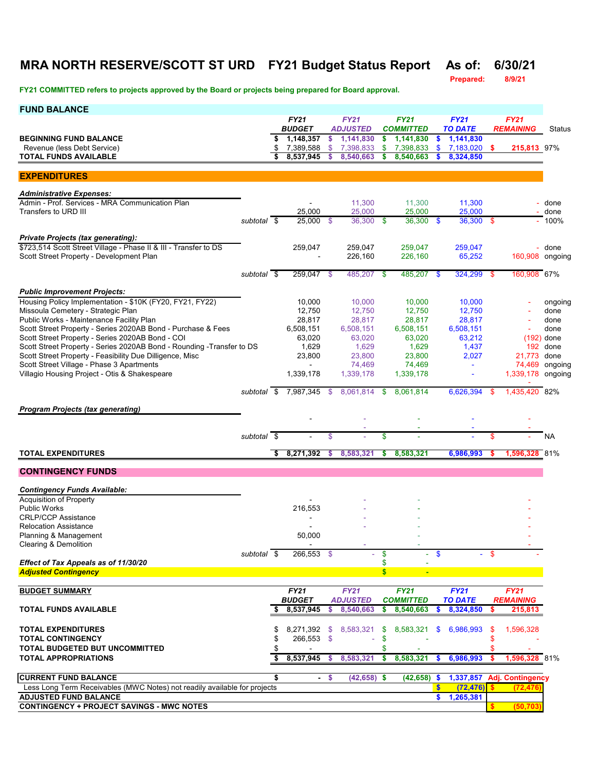## **MRA NORTH RESERVE/SCOTT ST URD FY21 Budget Status Report As of: 6/30/21**

**Prepared:** 

| <b>FUND BALANCE</b>                                                                                           |             |    |                                       |      |                              |    |                               |               |                             |          |                                         |                |
|---------------------------------------------------------------------------------------------------------------|-------------|----|---------------------------------------|------|------------------------------|----|-------------------------------|---------------|-----------------------------|----------|-----------------------------------------|----------------|
|                                                                                                               |             |    | <b>FY21</b>                           |      | <b>FY21</b>                  |    | <b>FY21</b>                   |               | <b>FY21</b>                 |          | <b>FY21</b>                             |                |
| <b>BEGINNING FUND BALANCE</b>                                                                                 |             | \$ | <b>BUDGET</b><br>1,148,357            | \$   | <b>ADJUSTED</b><br>1,141,830 | \$ | <b>COMMITTED</b><br>1,141,830 | \$            | <b>TO DATE</b><br>1,141,830 |          | <b>REMAINING</b>                        | Status         |
| Revenue (less Debt Service)                                                                                   |             | \$ | 7,389,588                             | \$   | 7,398,833                    | \$ | 7,398,833                     | \$            | 7,183,020                   | -S       | 215,813 97%                             |                |
| <b>TOTAL FUNDS AVAILABLE</b>                                                                                  |             |    | 8,537,945                             | s    | 8,540,663                    | \$ | 8,540,663                     |               | 8,324,850                   |          |                                         |                |
| <b>EXPENDITURES</b>                                                                                           |             |    |                                       |      |                              |    |                               |               |                             |          |                                         |                |
|                                                                                                               |             |    |                                       |      |                              |    |                               |               |                             |          |                                         |                |
| <b>Administrative Expenses:</b>                                                                               |             |    |                                       |      |                              |    |                               |               |                             |          |                                         |                |
| Admin - Prof. Services - MRA Communication Plan<br>Transfers to URD III                                       |             |    | 25,000                                |      | 11,300<br>25,000             |    | 11,300<br>25,000              |               | 11,300<br>25,000            |          |                                         | done<br>- done |
|                                                                                                               | subtotal \$ |    | 25,000 \$                             |      | 36.300 \$                    |    | $36,300$ \$                   |               | 36,300 \$                   |          |                                         | $-100%$        |
|                                                                                                               |             |    |                                       |      |                              |    |                               |               |                             |          |                                         |                |
| <b>Private Projects (tax generating):</b><br>\$723,514 Scott Street Village - Phase II & III - Transfer to DS |             |    | 259,047                               |      | 259,047                      |    | 259,047                       |               | 259,047                     |          |                                         | - done         |
| Scott Street Property - Development Plan                                                                      |             |    |                                       |      | 226,160                      |    | 226,160                       |               | 65,252                      |          | 160,908 ongoing                         |                |
|                                                                                                               |             |    |                                       |      |                              |    |                               |               |                             |          |                                         |                |
|                                                                                                               | subtotal \$ |    | 259,047 \$                            |      | 485,207 \$                   |    | 485,207 \$                    |               | $324,299$ \$                |          | 160,908 67%                             |                |
| <b>Public Improvement Projects:</b>                                                                           |             |    |                                       |      |                              |    |                               |               |                             |          |                                         |                |
| Housing Policy Implementation - \$10K (FY20, FY21, FY22)                                                      |             |    | 10,000                                |      | 10,000                       |    | 10,000                        |               | 10,000                      |          |                                         | ongoing        |
| Missoula Cemetery - Strategic Plan<br>Public Works - Maintenance Facility Plan                                |             |    | 12,750                                |      | 12,750                       |    | 12,750                        |               | 12,750                      |          |                                         | done           |
| Scott Street Property - Series 2020AB Bond - Purchase & Fees                                                  |             |    | 28,817<br>6,508,151                   |      | 28,817<br>6.508.151          |    | 28,817<br>6,508,151           |               | 28,817<br>6,508,151         |          |                                         | done<br>done   |
| Scott Street Property - Series 2020AB Bond - COI                                                              |             |    | 63,020                                |      | 63,020                       |    | 63,020                        |               | 63,212                      |          |                                         | $(192)$ done   |
| Scott Street Property - Series 2020AB Bond - Rounding - Transfer to DS                                        |             |    | 1,629                                 |      | 1,629                        |    | 1,629                         |               | 1,437                       |          |                                         | 192 done       |
| Scott Street Property - Feasibility Due Dilligence, Misc                                                      |             |    | 23,800                                |      | 23,800                       |    | 23,800                        |               | 2,027                       |          | 21,773 done                             |                |
| Scott Street Village - Phase 3 Apartments<br>Villagio Housing Project - Otis & Shakespeare                    |             |    | $\overline{\phantom{0}}$<br>1,339,178 |      | 74,469<br>1,339,178          |    | 74,469<br>1,339,178           |               | $\blacksquare$              |          | 1,339,178 ongoing                       | 74,469 ongoing |
|                                                                                                               |             |    |                                       |      |                              |    |                               |               |                             |          |                                         |                |
|                                                                                                               |             |    | subtotal $\frac{1}{2}$ 7,987,345 \$   |      | 8,061,814 \$                 |    | 8,061,814                     |               | 6,626,394                   | - \$     | 1,435,420 82%                           |                |
| <b>Program Projects (tax generating)</b>                                                                      |             |    |                                       |      |                              |    |                               |               |                             |          |                                         |                |
|                                                                                                               |             |    |                                       |      |                              |    |                               |               |                             |          |                                         |                |
|                                                                                                               | subtotal \$ |    |                                       | \$   |                              | \$ |                               |               |                             | \$       |                                         | NA             |
|                                                                                                               |             |    |                                       |      |                              |    |                               |               |                             |          |                                         |                |
| <b>TOTAL EXPENDITURES</b>                                                                                     |             | \$ | 8,271,392                             | s    | 8,583,321                    | \$ | 8,583,321                     |               | 6,986,993                   |          | 1,596,328 81%                           |                |
| <b>CONTINGENCY FUNDS</b>                                                                                      |             |    |                                       |      |                              |    |                               |               |                             |          |                                         |                |
|                                                                                                               |             |    |                                       |      |                              |    |                               |               |                             |          |                                         |                |
| <b>Contingency Funds Available:</b><br><b>Acquisition of Property</b>                                         |             |    |                                       |      |                              |    |                               |               |                             |          |                                         |                |
| <b>Public Works</b>                                                                                           |             |    | 216,553                               |      |                              |    |                               |               |                             |          |                                         |                |
| <b>CRLP/CCP Assistance</b>                                                                                    |             |    |                                       |      |                              |    |                               |               |                             |          |                                         |                |
| <b>Relocation Assistance</b>                                                                                  |             |    | 50.000                                |      |                              |    |                               |               |                             |          |                                         |                |
| Planning & Management<br>Clearing & Demolition                                                                |             |    |                                       |      |                              |    |                               |               |                             |          |                                         |                |
|                                                                                                               | subtotal \$ |    | 266.553 \$                            |      |                              | \$ |                               | $\mathbf{\$}$ |                             | -S       |                                         |                |
| Effect of Tax Appeals as of 11/30/20                                                                          |             |    |                                       |      |                              | \$ |                               |               |                             |          |                                         |                |
| <b>Adjusted Contingency</b>                                                                                   |             |    |                                       |      |                              | \$ | $\blacksquare$                |               |                             |          |                                         |                |
| <b>BUDGET SUMMARY</b>                                                                                         |             |    | <b>FY21</b>                           |      | <b>FY21</b>                  |    | <b>FY21</b>                   |               | <b>FY21</b>                 |          | <b>FY21</b>                             |                |
|                                                                                                               |             |    | <b>BUDGET</b>                         |      | <b>ADJUSTED</b>              |    | <b>COMMITTED</b>              |               | <b>TO DATE</b>              |          | <b>REMAINING</b>                        |                |
| <b>TOTAL FUNDS AVAILABLE</b>                                                                                  |             | S  | 8,537,945                             | \$   | 8,540,663                    | \$ | 8,540,663                     | \$            | 8,324,850                   | \$       | 215,813                                 |                |
| <b>TOTAL EXPENDITURES</b>                                                                                     |             | \$ |                                       |      | 8,271,392 \$ 8,583,321       | \$ | 8,583,321                     | $\mathbf{s}$  | 6,986,993                   | \$       | 1,596,328                               |                |
| <b>TOTAL CONTINGENCY</b>                                                                                      |             |    | 266,553 \$                            |      | ä,                           | \$ |                               |               |                             |          |                                         |                |
| <b>TOTAL BUDGETED BUT UNCOMMITTED</b>                                                                         |             |    |                                       |      |                              | S  |                               |               |                             |          |                                         |                |
| <b>TOTAL APPROPRIATIONS</b>                                                                                   |             | \$ | 8,537,945                             | \$.  | 8,583,321                    | \$ | 8,583,321                     | \$.           | 6,986,993                   | -S       | 1,596,328 81%                           |                |
|                                                                                                               |             |    |                                       |      |                              |    |                               |               |                             |          |                                         |                |
| <b>CURRENT FUND BALANCE</b><br>Less Long Term Receivables (MWC Notes) not readily available for projects      |             | \$ |                                       | - \$ | $(42, 658)$ \$               |    | (42, 658)                     | - \$<br>\$    | (72, 476)                   | <b>S</b> | 1,337,857 Adj. Contingency<br>(72, 476) |                |
| <b>ADJUSTED FUND BALANCE</b>                                                                                  |             |    |                                       |      |                              |    |                               | \$            | 1,265,381                   |          |                                         |                |
| <b>CONTINGENCY + PROJECT SAVINGS - MWC NOTES</b>                                                              |             |    |                                       |      |                              |    |                               |               |                             | s        | (50, 703)                               |                |
|                                                                                                               |             |    |                                       |      |                              |    |                               |               |                             |          |                                         |                |